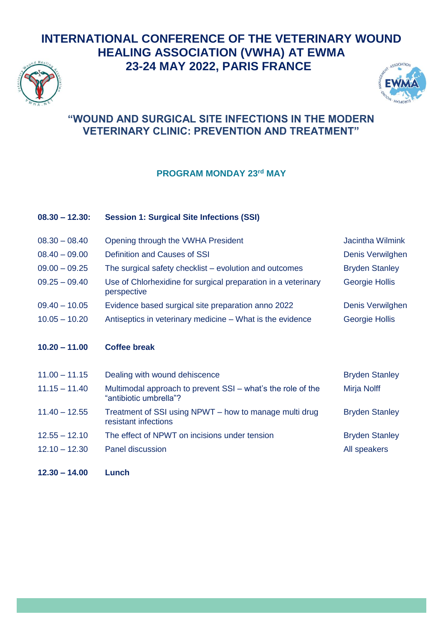



#### **"WOUND AND SURGICAL SITE INFECTIONS IN THE MODERN VETERINARY CLINIC: PREVENTION AND TREATMENT"**

#### **PROGRAM MONDAY 23rd MAY**

| $08.30 - 12.30:$ | <b>Session 1: Surgical Site Infections (SSI)</b>                                      |                       |
|------------------|---------------------------------------------------------------------------------------|-----------------------|
| $08.30 - 08.40$  | Opening through the VWHA President                                                    | Jacintha Wilmink      |
| $08.40 - 09.00$  | Definition and Causes of SSI                                                          | Denis Verwilghen      |
| $09.00 - 09.25$  | The surgical safety checklist – evolution and outcomes                                | <b>Bryden Stanley</b> |
| $09.25 - 09.40$  | Use of Chlorhexidine for surgical preparation in a veterinary<br>perspective          | <b>Georgie Hollis</b> |
| $09.40 - 10.05$  | Evidence based surgical site preparation anno 2022                                    | Denis Verwilghen      |
| $10.05 - 10.20$  | Antiseptics in veterinary medicine – What is the evidence                             | <b>Georgie Hollis</b> |
|                  |                                                                                       |                       |
|                  |                                                                                       |                       |
| $10.20 - 11.00$  | <b>Coffee break</b>                                                                   |                       |
|                  |                                                                                       |                       |
| $11.00 - 11.15$  | Dealing with wound dehiscence                                                         | <b>Bryden Stanley</b> |
| $11.15 - 11.40$  | Multimodal approach to prevent SSI - what's the role of the<br>"antibiotic umbrella"? | Mirja Nolff           |
| $11.40 - 12.55$  | Treatment of SSI using NPWT - how to manage multi drug<br>resistant infections        | <b>Bryden Stanley</b> |
| $12.55 - 12.10$  | The effect of NPWT on incisions under tension                                         | <b>Bryden Stanley</b> |
| $12.10 - 12.30$  | <b>Panel discussion</b>                                                               | All speakers          |

**12.30 – 14.00 Lunch**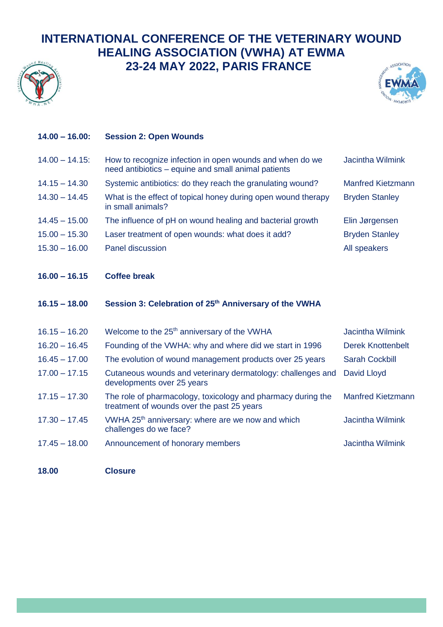



| $14.00 - 16.00$ : | <b>Session 2: Open Wounds</b>                                                                                   |                          |
|-------------------|-----------------------------------------------------------------------------------------------------------------|--------------------------|
| $14.00 - 14.15$   | How to recognize infection in open wounds and when do we<br>need antibiotics – equine and small animal patients | <b>Jacintha Wilmink</b>  |
| $14.15 - 14.30$   | Systemic antibiotics: do they reach the granulating wound?                                                      | <b>Manfred Kietzmann</b> |
| $14.30 - 14.45$   | What is the effect of topical honey during open wound therapy<br>in small animals?                              | <b>Bryden Stanley</b>    |
| $14.45 - 15.00$   | The influence of pH on wound healing and bacterial growth                                                       | Elin Jørgensen           |
| $15.00 - 15.30$   | Laser treatment of open wounds: what does it add?                                                               | <b>Bryden Stanley</b>    |
| $15.30 - 16.00$   | Panel discussion                                                                                                | All speakers             |
|                   |                                                                                                                 |                          |
| $16.00 - 16.15$   | <b>Coffee break</b>                                                                                             |                          |
|                   |                                                                                                                 |                          |
| $16.15 - 18.00$   | Session 3: Celebration of 25 <sup>th</sup> Anniversary of the VWHA                                              |                          |
| $16.15 - 16.20$   | Welcome to the 25 <sup>th</sup> anniversary of the VWHA                                                         | <b>Jacintha Wilmink</b>  |
| $16.20 - 16.45$   | Founding of the VWHA: why and where did we start in 1996                                                        | <b>Derek Knottenbelt</b> |
| $16.45 - 17.00$   | The evolution of wound management products over 25 years                                                        | <b>Sarah Cockbill</b>    |
| $17.00 - 17.15$   | Cutaneous wounds and veterinary dermatology: challenges and<br>developments over 25 years                       | David Lloyd              |
| $17.15 - 17.30$   | The role of pharmacology, toxicology and pharmacy during the<br>treatment of wounds over the past 25 years      | <b>Manfred Kietzmann</b> |
| $17.30 - 17.45$   | VWHA 25 <sup>th</sup> anniversary: where are we now and which<br>challenges do we face?                         | <b>Jacintha Wilmink</b>  |
| $17.45 - 18.00$   | Announcement of honorary members                                                                                | <b>Jacintha Wilmink</b>  |

**18.00 Closure**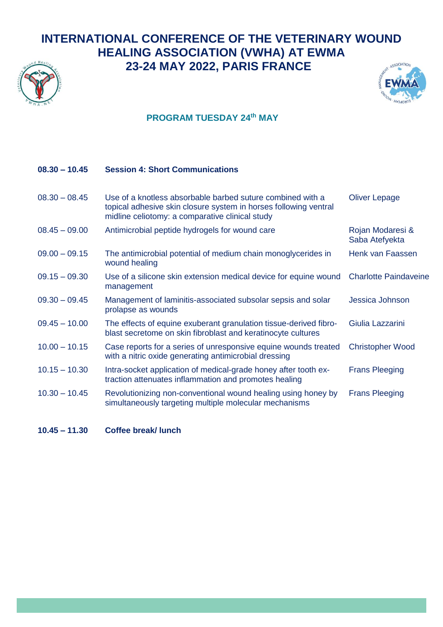



#### **PROGRAM TUESDAY 24th MAY**

#### **08.30 – 10.45 Session 4: Short Communications**

| $08.30 - 08.45$ | Use of a knotless absorbable barbed suture combined with a<br>topical adhesive skin closure system in horses following ventral<br>midline celiotomy: a comparative clinical study | <b>Oliver Lepage</b>               |
|-----------------|-----------------------------------------------------------------------------------------------------------------------------------------------------------------------------------|------------------------------------|
| $08.45 - 09.00$ | Antimicrobial peptide hydrogels for wound care                                                                                                                                    | Rojan Modaresi &<br>Saba Atefyekta |
| $09.00 - 09.15$ | The antimicrobial potential of medium chain monoglycerides in<br>wound healing                                                                                                    | Henk van Faassen                   |
| $09.15 - 09.30$ | Use of a silicone skin extension medical device for equine wound<br>management                                                                                                    | <b>Charlotte Paindaveine</b>       |
| $09.30 - 09.45$ | Management of laminitis-associated subsolar sepsis and solar<br>prolapse as wounds                                                                                                | Jessica Johnson                    |
| $09.45 - 10.00$ | The effects of equine exuberant granulation tissue-derived fibro-<br>blast secretome on skin fibroblast and keratinocyte cultures                                                 | Giulia Lazzarini                   |
| $10.00 - 10.15$ | Case reports for a series of unresponsive equine wounds treated<br>with a nitric oxide generating antimicrobial dressing                                                          | <b>Christopher Wood</b>            |
| $10.15 - 10.30$ | Intra-socket application of medical-grade honey after tooth ex-<br>traction attenuates inflammation and promotes healing                                                          | <b>Frans Pleeging</b>              |
| $10.30 - 10.45$ | Revolutionizing non-conventional wound healing using honey by<br>simultaneously targeting multiple molecular mechanisms                                                           | <b>Frans Pleeging</b>              |

**10.45 – 11.30 Coffee break/ lunch**